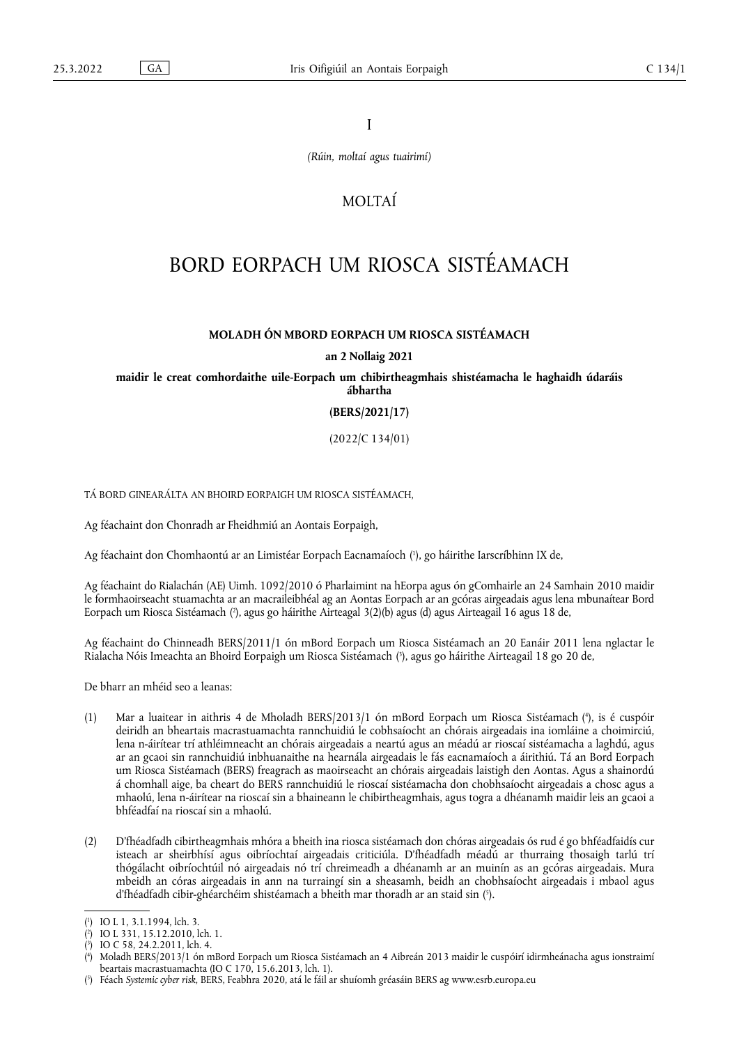I

*(Rúin, moltaí agus tuairimí)*

# MOLTAÍ

# BORD EORPACH UM RIOSCA SISTÉAMACH

## **MOLADH ÓN MBORD EORPACH UM RIOSCA SISTÉAMACH**

#### **an 2 Nollaig 2021**

**maidir le creat comhordaithe uile-Eorpach um chibirtheagmhais shistéamacha le haghaidh údaráis ábhartha** 

#### **(BERS/2021/17)**

(2022/C 134/01)

TÁ BORD GINEARÁLTA AN BHOIRD EORPAIGH UM RIOSCA SISTÉAMACH,

Ag féachaint don Chonradh ar Fheidhmiú an Aontais Eorpaigh,

<span id="page-0-5"></span>Ag féachaint don Chomhaontú ar an Limistéar Eorpach Eacnamaíoch ( 1 [\),](#page-0-0) go háirithe Iarscríbhinn IX de,

<span id="page-0-6"></span>Ag féachaint do Rialachán (AE) Uimh. 1092/2010 ó Pharlaimint na hEorpa agus ón gComhairle an 24 Samhain 2010 maidir le formhaoirseacht stuamachta ar an macraileibhéal ag an Aontas Eorpach ar an gcóras airgeadais agus lena mbunaítear Bord Eorpach um Riosca Sistéamach [\(](#page-0-1)²), agus go háirithe Airteagal 3(2)(b) agus (d) agus Airteagail 16 agus 18 de,

<span id="page-0-7"></span>Ag féachaint do Chinneadh BERS/2011/1 ón mBord Eorpach um Riosca Sistéamach an 20 Eanáir 2011 lena nglactar le Rialacha Nóis Imeachta an Bhoird Eorpaigh um Riosca Sistéamach ( 3 [\),](#page-0-2) agus go háirithe Airteagail 18 go 20 de,

De bharr an mhéid seo a leanas:

- <span id="page-0-8"></span>(1) Mar a luaitear in aithris 4 de Mholadh BERS/2013/1 ón mBord Eorpach um Riosca Sistéamach ( 4 [\),](#page-0-3) is é cuspóir deiridh an bheartais macrastuamachta rannchuidiú le cobhsaíocht an chórais airgeadais ina iomláine a choimirciú, lena n-áirítear trí athléimneacht an chórais airgeadais a neartú agus an méadú ar rioscaí sistéamacha a laghdú, agus ar an gcaoi sin rannchuidiú inbhuanaithe na hearnála airgeadais le fás eacnamaíoch a áirithiú. Tá an Bord Eorpach um Riosca Sistéamach (BERS) freagrach as maoirseacht an chórais airgeadais laistigh den Aontas. Agus a shainordú á chomhall aige, ba cheart do BERS rannchuidiú le rioscaí sistéamacha don chobhsaíocht airgeadais a chosc agus a mhaolú, lena n-áirítear na rioscaí sin a bhaineann le chibirtheagmhais, agus togra a dhéanamh maidir leis an gcaoi a bhféadfaí na rioscaí sin a mhaolú.
- (2) D'fhéadfadh cibirtheagmhais mhóra a bheith ina riosca sistéamach don chóras airgeadais ós rud é go bhféadfaidís cur isteach ar sheirbhísí agus oibríochtaí airgeadais criticiúla. D'fhéadfadh méadú ar thurraing thosaigh tarlú trí thógálacht oibríochtúil nó airgeadais nó trí chreimeadh a dhéanamh ar an muinín as an gcóras airgeadais. Mura mbeidh an córas airgeadais in ann na turraingí sin a sheasamh, beidh an chobhsaíocht airgeadais i mbaol agus d'fhéadfadh cibir-ghéarchéim shistéamach a bheith mar thoradh ar an staid sin ( 5 [\).](#page-0-4)

<span id="page-0-9"></span><span id="page-0-0"></span>[<sup>\(</sup>](#page-0-5) 1 ) IO L 1, 3.1.1994, lch. 3.

<span id="page-0-1"></span> $(2)$  $(2)$ ) IO L 331, 15.12.2010, lch. 1.

<span id="page-0-2"></span>[<sup>\(</sup>](#page-0-7) 3 ) IO C 58, 24.2.2011, lch. 4.

<span id="page-0-3"></span>[<sup>\(</sup>](#page-0-8) 4 ) Moladh BERS/2013/1 ón mBord Eorpach um Riosca Sistéamach an 4 Aibreán 2013 maidir le cuspóirí idirmheánacha agus ionstraimí beartais macrastuamachta (IO C 170, 15.6.2013, lch. 1).

<span id="page-0-4"></span><sup>(</sup> 5 [\)](#page-0-9) Féach *Systemic cyber risk*, BERS, Feabhra 2020, atá le fáil ar shuíomh gréasáin BERS ag <www.esrb.europa.eu>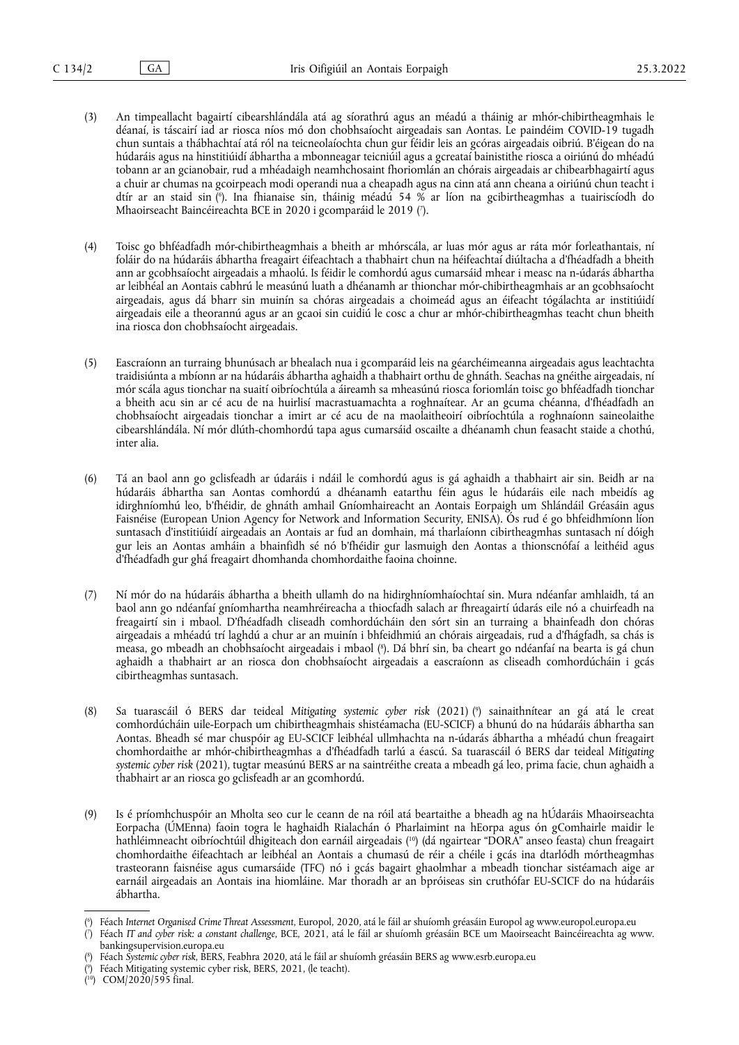- (3) An timpeallacht bagairtí cibearshlándála atá ag síorathrú agus an méadú a tháinig ar mhór-chibirtheagmhais le déanaí, is táscairí iad ar riosca níos mó don chobhsaíocht airgeadais san Aontas. Le paindéim COVID-19 tugadh chun suntais a thábhachtaí atá ról na teicneolaíochta chun gur féidir leis an gcóras airgeadais oibriú. B'éigean do na húdaráis agus na hinstitiúidí ábhartha a mbonneagar teicniúil agus a gcreataí bainistithe riosca a oiriúnú do mhéadú tobann ar an gcianobair, rud a mhéadaigh neamhchosaint fhoriomlán an chórais airgeadais ar chibearbhagairtí agus a chuir ar chumas na gcoirpeach modi operandi nua a cheapadh agus na cinn atá ann cheana a oiriúnú chun teacht i dtír ar an staid sin [\(](#page-1-0) 6 ). Ina fhianaise sin, tháinig méadú 54 % ar líon na gcibirtheagmhas a tuairiscíodh do Mhaoirseacht Baincéireachta BCE in 2020 i gcomparáid le 2019 [\(](#page-1-1) 7 ).
- <span id="page-1-6"></span><span id="page-1-5"></span>(4) Toisc go bhféadfadh mór-chibirtheagmhais a bheith ar mhórscála, ar luas mór agus ar ráta mór forleathantais, ní foláir do na húdaráis ábhartha freagairt éifeachtach a thabhairt chun na héifeachtaí diúltacha a d'fhéadfadh a bheith ann ar gcobhsaíocht airgeadais a mhaolú. Is féidir le comhordú agus cumarsáid mhear i measc na n-údarás ábhartha ar leibhéal an Aontais cabhrú le measúnú luath a dhéanamh ar thionchar mór-chibirtheagmhais ar an gcobhsaíocht airgeadais, agus dá bharr sin muinín sa chóras airgeadais a choimeád agus an éifeacht tógálachta ar institiúidí airgeadais eile a theorannú agus ar an gcaoi sin cuidiú le cosc a chur ar mhór-chibirtheagmhas teacht chun bheith ina riosca don chobhsaíocht airgeadais.
- (5) Eascraíonn an turraing bhunúsach ar bhealach nua i gcomparáid leis na géarchéimeanna airgeadais agus leachtachta traidisiúnta a mbíonn ar na húdaráis ábhartha aghaidh a thabhairt orthu de ghnáth. Seachas na gnéithe airgeadais, ní mór scála agus tionchar na suaití oibríochtúla a áireamh sa mheasúnú riosca foriomlán toisc go bhféadfadh tionchar a bheith acu sin ar cé acu de na huirlisí macrastuamachta a roghnaítear. Ar an gcuma chéanna, d'fhéadfadh an chobhsaíocht airgeadais tionchar a imirt ar cé acu de na maolaitheoirí oibríochtúla a roghnaíonn saineolaithe cibearshlándála. Ní mór dlúth-chomhordú tapa agus cumarsáid oscailte a dhéanamh chun feasacht staide a chothú, inter alia.
- (6) Tá an baol ann go gclisfeadh ar údaráis i ndáil le comhordú agus is gá aghaidh a thabhairt air sin. Beidh ar na húdaráis ábhartha san Aontas comhordú a dhéanamh eatarthu féin agus le húdaráis eile nach mbeidís ag idirghníomhú leo, b'fhéidir, de ghnáth amhail Gníomhaireacht an Aontais Eorpaigh um Shlándáil Gréasáin agus Faisnéise (European Union Agency for Network and Information Security, ENISA). Ós rud é go bhfeidhmíonn líon suntasach d'institiúidí airgeadais an Aontais ar fud an domhain, má tharlaíonn cibirtheagmhas suntasach ní dóigh gur leis an Aontas amháin a bhainfidh sé nó b'fhéidir gur lasmuigh den Aontas a thionscnófaí a leithéid agus d'fhéadfadh gur ghá freagairt dhomhanda chomhordaithe faoina choinne.
- <span id="page-1-7"></span>(7) Ní mór do na húdaráis ábhartha a bheith ullamh do na hidirghníomhaíochtaí sin. Mura ndéanfar amhlaidh, tá an baol ann go ndéanfaí gníomhartha neamhréireacha a thiocfadh salach ar fhreagairtí údarás eile nó a chuirfeadh na freagairtí sin i mbaol. D'fhéadfadh cliseadh comhordúcháin den sórt sin an turraing a bhainfeadh don chóras airgeadais a mhéadú trí laghdú a chur ar an muinín i bhfeidhmiú an chórais airgeadais, rud a d'fhágfadh, sa chás is measa, go mbeadh an chobhsaíocht airgeadais i mbaol ( 8 [\).](#page-1-2) Dá bhrí sin, ba cheart go ndéanfaí na bearta is gá chun aghaidh a thabhairt ar an riosca don chobhsaíocht airgeadais a eascraíonn as cliseadh comhordúcháin i gcás cibirtheagmhas suntasach.
- <span id="page-1-8"></span>(8) Sa tuarascáil ó BERS dar teideal *Mitigating systemic cyber risk* (2021) [\(](#page-1-3) 9 ) sainaithnítear an gá atá le creat comhordúcháin uile-Eorpach um chibirtheagmhais shistéamacha (EU-SCICF) a bhunú do na húdaráis ábhartha san Aontas. Bheadh sé mar chuspóir ag EU-SCICF leibhéal ullmhachta na n-údarás ábhartha a mhéadú chun freagairt chomhordaithe ar mhór-chibirtheagmhas a d'fhéadfadh tarlú a éascú. Sa tuarascáil ó BERS dar teideal *Mitigating systemic cyber risk* (2021), tugtar measúnú BERS ar na saintréithe creata a mbeadh gá leo, prima facie, chun aghaidh a thabhairt ar an riosca go gclisfeadh ar an gcomhordú.
- <span id="page-1-9"></span>(9) Is é príomhchuspóir an Mholta seo cur le ceann de na róil atá beartaithe a bheadh ag na hÚdaráis Mhaoirseachta Eorpacha (ÚMEnna) faoin togra le haghaidh Rialachán ó Pharlaimint na hEorpa agus ón gComhairle maidir le hathléimneacht oibríochtúil dhigiteach don earnáil airgeadais ( [10\)](#page-1-4) (dá ngairtear "DORA" anseo feasta) chun freagairt chomhordaithe éifeachtach ar leibhéal an Aontais a chumasú de réir a chéile i gcás ina dtarlódh mórtheagmhas trasteorann faisnéise agus cumarsáide (TFC) nó i gcás bagairt ghaolmhar a mbeadh tionchar sistéamach aige ar earnáil airgeadais an Aontais ina hiomláine. Mar thoradh ar an bpróiseas sin cruthófar EU-SCICF do na húdaráis ábhartha.

<span id="page-1-0"></span>[<sup>\(</sup>](#page-1-5) 6 ) Féach *Internet Organised Crime Threat Assessment*, Europol, 2020, atá le fáil ar shuíomh gréasáin Europol ag <www.europol.europa.eu>

<span id="page-1-1"></span>[<sup>\(</sup>](#page-1-6) 7 ) Féach *IT and cyber risk: a constant challenge*, BCE, 2021, atá le fáil ar shuíomh gréasáin BCE um Maoirseacht Baincéireachta ag [www.](www.bankingsupervision.europa.eu) [bankingsupervision.europa.eu](www.bankingsupervision.europa.eu)

<span id="page-1-2"></span>[<sup>\(</sup>](#page-1-7) 8 ) Féach *Systemic cyber risk*, BERS, Feabhra 2020, atá le fáil ar shuíomh gréasáin BERS ag <www.esrb.europa.eu>

<span id="page-1-3"></span>[<sup>\(</sup>](#page-1-8) 9 ) Féach Mitigating systemic cyber risk, BERS, 2021, (le teacht).

<span id="page-1-4"></span><sup>(</sup> [10\)](#page-1-9) COM/2020/595 final.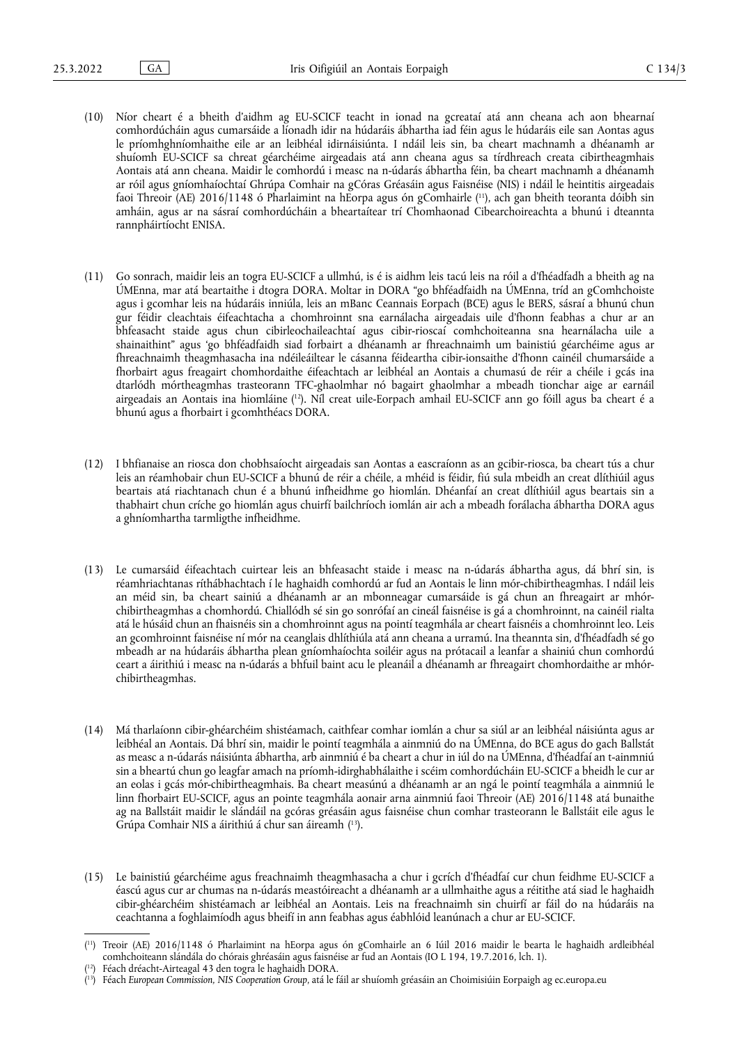- <span id="page-2-3"></span>(10) Níor cheart é a bheith d'aidhm ag EU-SCICF teacht in ionad na gcreataí atá ann cheana ach aon bhearnaí comhordúcháin agus cumarsáide a líonadh idir na húdaráis ábhartha iad féin agus le húdaráis eile san Aontas agus le príomhghníomhaithe eile ar an leibhéal idirnáisiúnta. I ndáil leis sin, ba cheart machnamh a dhéanamh ar shuíomh EU-SCICF sa chreat géarchéime airgeadais atá ann cheana agus sa tírdhreach creata cibirtheagmhais Aontais atá ann cheana. Maidir le comhordú i measc na n-údarás ábhartha féin, ba cheart machnamh a dhéanamh ar róil agus gníomhaíochtaí Ghrúpa Comhair na gCóras Gréasáin agus Faisnéise (NIS) i ndáil le heintitis airgeadais faoi Threoir (AE) 2016/1148 ó Pharlaimint na hEorpa agus ón gComhairle ( [11\)](#page-2-0), ach gan bheith teoranta dóibh sin amháin, agus ar na sásraí comhordúcháin a bheartaítear trí Chomhaonad Cibearchoireachta a bhunú i dteannta rannpháirtíocht ENISA.
- (11) Go sonrach, maidir leis an togra EU-SCICF a ullmhú, is é is aidhm leis tacú leis na róil a d'fhéadfadh a bheith ag na ÚMEnna, mar atá beartaithe i dtogra DORA. Moltar in DORA "go bhféadfaidh na ÚMEnna, tríd an gComhchoiste agus i gcomhar leis na húdaráis inniúla, leis an mBanc Ceannais Eorpach (BCE) agus le BERS, sásraí a bhunú chun gur féidir cleachtais éifeachtacha a chomhroinnt sna earnálacha airgeadais uile d'fhonn feabhas a chur ar an bhfeasacht staide agus chun cibirleochaileachtaí agus cibir-rioscaí comhchoiteanna sna hearnálacha uile a shainaithint" agus 'go bhféadfaidh siad forbairt a dhéanamh ar fhreachnaimh um bainistiú géarchéime agus ar fhreachnaimh theagmhasacha ina ndéileáiltear le cásanna féideartha cibir-ionsaithe d'fhonn cainéil chumarsáide a fhorbairt agus freagairt chomhordaithe éifeachtach ar leibhéal an Aontais a chumasú de réir a chéile i gcás ina dtarlódh mórtheagmhas trasteorann TFC-ghaolmhar nó bagairt ghaolmhar a mbeadh tionchar aige ar earnáil airgeadais an Aontais ina hiomláine ( [12\).](#page-2-1) Níl creat uile-Eorpach amhail EU-SCICF ann go fóill agus ba cheart é a bhunú agus a fhorbairt i gcomhthéacs DORA.
- <span id="page-2-4"></span>(12) I bhfianaise an riosca don chobhsaíocht airgeadais san Aontas a eascraíonn as an gcibir-riosca, ba cheart tús a chur leis an réamhobair chun EU-SCICF a bhunú de réir a chéile, a mhéid is féidir, fiú sula mbeidh an creat dlíthiúil agus beartais atá riachtanach chun é a bhunú infheidhme go hiomlán. Dhéanfaí an creat dlíthiúil agus beartais sin a thabhairt chun críche go hiomlán agus chuirfí bailchríoch iomlán air ach a mbeadh forálacha ábhartha DORA agus a ghníomhartha tarmligthe infheidhme.
- (13) Le cumarsáid éifeachtach cuirtear leis an bhfeasacht staide i measc na n-údarás ábhartha agus, dá bhrí sin, is réamhriachtanas ríthábhachtach í le haghaidh comhordú ar fud an Aontais le linn mór-chibirtheagmhas. I ndáil leis an méid sin, ba cheart sainiú a dhéanamh ar an mbonneagar cumarsáide is gá chun an fhreagairt ar mhórchibirtheagmhas a chomhordú. Chiallódh sé sin go sonrófaí an cineál faisnéise is gá a chomhroinnt, na cainéil rialta atá le húsáid chun an fhaisnéis sin a chomhroinnt agus na pointí teagmhála ar cheart faisnéis a chomhroinnt leo. Leis an gcomhroinnt faisnéise ní mór na ceanglais dhlíthiúla atá ann cheana a urramú. Ina theannta sin, d'fhéadfadh sé go mbeadh ar na húdaráis ábhartha plean gníomhaíochta soiléir agus na prótacail a leanfar a shainiú chun comhordú ceart a áirithiú i measc na n-údarás a bhfuil baint acu le pleanáil a dhéanamh ar fhreagairt chomhordaithe ar mhórchibirtheagmhas.
- (14) Má tharlaíonn cibir-ghéarchéim shistéamach, caithfear comhar iomlán a chur sa siúl ar an leibhéal náisiúnta agus ar leibhéal an Aontais. Dá bhrí sin, maidir le pointí teagmhála a ainmniú do na ÚMEnna, do BCE agus do gach Ballstát as measc a n-údarás náisiúnta ábhartha, arb ainmniú é ba cheart a chur in iúl do na ÚMEnna, d'fhéadfaí an t-ainmniú sin a bheartú chun go leagfar amach na príomh-idirghabhálaithe i scéim comhordúcháin EU-SCICF a bheidh le cur ar an eolas i gcás mór-chibirtheagmhais. Ba cheart measúnú a dhéanamh ar an ngá le pointí teagmhála a ainmniú le linn fhorbairt EU-SCICF, agus an pointe teagmhála aonair arna ainmniú faoi Threoir (AE) 2016/1148 atá bunaithe ag na Ballstáit maidir le slándáil na gcóras gréasáin agus faisnéise chun comhar trasteorann le Ballstáit eile agus le Grúpa Comhair NIS a áirithiú á chur san áireamh ( [13\)](#page-2-2).
- <span id="page-2-5"></span>(15) Le bainistiú géarchéime agus freachnaimh theagmhasacha a chur i gcrích d'fhéadfaí cur chun feidhme EU-SCICF a éascú agus cur ar chumas na n-údarás meastóireacht a dhéanamh ar a ullmhaithe agus a réitithe atá siad le haghaidh cibir-ghéarchéim shistéamach ar leibhéal an Aontais. Leis na freachnaimh sin chuirfí ar fáil do na húdaráis na ceachtanna a foghlaimíodh agus bheifí in ann feabhas agus éabhlóid leanúnach a chur ar EU-SCICF.

<span id="page-2-0"></span><sup>(</sup> [11\)](#page-2-3) Treoir (AE) 2016/1148 ó Pharlaimint na hEorpa agus ón gComhairle an 6 Iúil 2016 maidir le bearta le haghaidh ardleibhéal comhchoiteann slándála do chórais ghréasáin agus faisnéise ar fud an Aontais (IO L 194, 19.7.2016, lch. 1).

<span id="page-2-1"></span><sup>(</sup> Féach dréacht-Airteagal 43 den togra le haghaidh DORA.

<span id="page-2-2"></span><sup>(</sup> [13\)](#page-2-5) Féach *European Commission, NIS Cooperation Group*, atá le fáil ar shuíomh gréasáin an Choimisiúin Eorpaigh ag [ec.europa.eu](https://ec.europa.eu)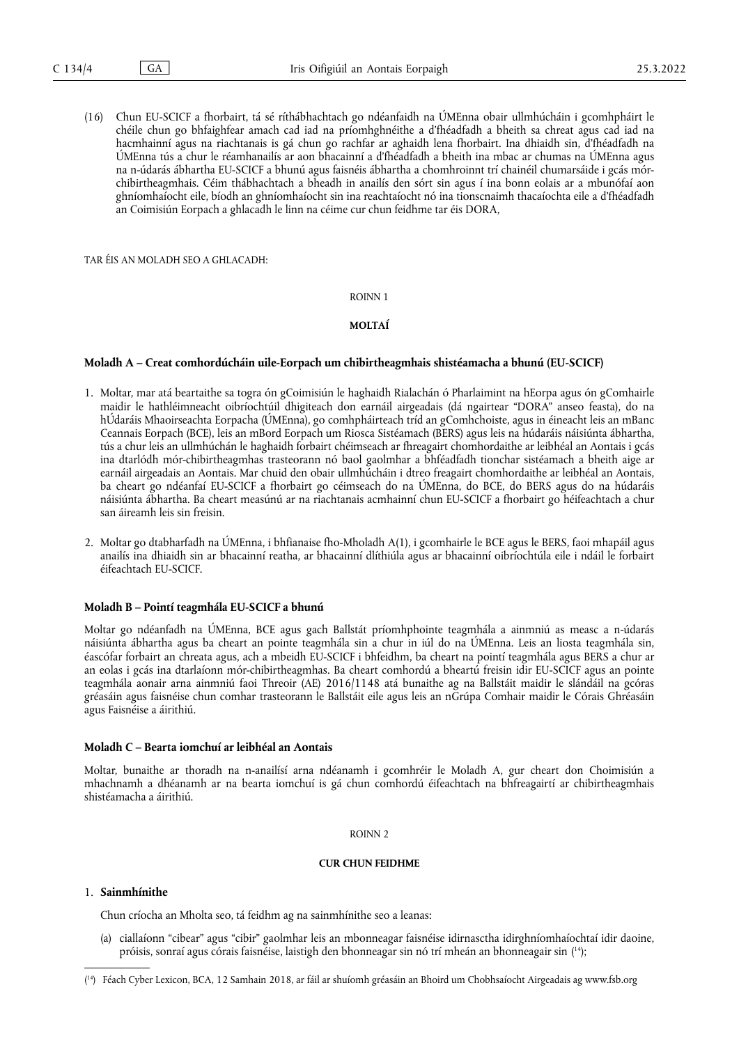(16) Chun EU-SCICF a fhorbairt, tá sé ríthábhachtach go ndéanfaidh na ÚMEnna obair ullmhúcháin i gcomhpháirt le chéile chun go bhfaighfear amach cad iad na príomhghnéithe a d'fhéadfadh a bheith sa chreat agus cad iad na hacmhainní agus na riachtanais is gá chun go rachfar ar aghaidh lena fhorbairt. Ina dhiaidh sin, d'fhéadfadh na ÚMEnna tús a chur le réamhanailís ar aon bhacainní a d'fhéadfadh a bheith ina mbac ar chumas na ÚMEnna agus na n-údarás ábhartha EU-SCICF a bhunú agus faisnéis ábhartha a chomhroinnt trí chainéil chumarsáide i gcás mórchibirtheagmhais. Céim thábhachtach a bheadh in anailís den sórt sin agus í ina bonn eolais ar a mbunófaí aon ghníomhaíocht eile, bíodh an ghníomhaíocht sin ina reachtaíocht nó ina tionscnaimh thacaíochta eile a d'fhéadfadh an Coimisiún Eorpach a ghlacadh le linn na céime cur chun feidhme tar éis DORA,

TAR ÉIS AN MOLADH SEO A GHLACADH:

ROINN 1

#### **MOLTAÍ**

#### **Moladh A – Creat comhordúcháin uile-Eorpach um chibirtheagmhais shistéamacha a bhunú (EU-SCICF)**

- 1. Moltar, mar atá beartaithe sa togra ón gCoimisiún le haghaidh Rialachán ó Pharlaimint na hEorpa agus ón gComhairle maidir le hathléimneacht oibríochtúil dhigiteach don earnáil airgeadais (dá ngairtear "DORA" anseo feasta), do na hÚdaráis Mhaoirseachta Eorpacha (ÚMEnna), go comhpháirteach tríd an gComhchoiste, agus in éineacht leis an mBanc Ceannais Eorpach (BCE), leis an mBord Eorpach um Riosca Sistéamach (BERS) agus leis na húdaráis náisiúnta ábhartha, tús a chur leis an ullmhúchán le haghaidh forbairt chéimseach ar fhreagairt chomhordaithe ar leibhéal an Aontais i gcás ina dtarlódh mór-chibirtheagmhas trasteorann nó baol gaolmhar a bhféadfadh tionchar sistéamach a bheith aige ar earnáil airgeadais an Aontais. Mar chuid den obair ullmhúcháin i dtreo freagairt chomhordaithe ar leibhéal an Aontais, ba cheart go ndéanfaí EU-SCICF a fhorbairt go céimseach do na ÚMEnna, do BCE, do BERS agus do na húdaráis náisiúnta ábhartha. Ba cheart measúnú ar na riachtanais acmhainní chun EU-SCICF a fhorbairt go héifeachtach a chur san áireamh leis sin freisin.
- 2. Moltar go dtabharfadh na ÚMEnna, i bhfianaise fho-Mholadh A(1), i gcomhairle le BCE agus le BERS, faoi mhapáil agus anailís ina dhiaidh sin ar bhacainní reatha, ar bhacainní dlíthiúla agus ar bhacainní oibríochtúla eile i ndáil le forbairt éifeachtach EU-SCICF.

### **Moladh B – Pointí teagmhála EU-SCICF a bhunú**

Moltar go ndéanfadh na ÚMEnna, BCE agus gach Ballstát príomhphointe teagmhála a ainmniú as measc a n-údarás náisiúnta ábhartha agus ba cheart an pointe teagmhála sin a chur in iúl do na ÚMEnna. Leis an liosta teagmhála sin, éascófar forbairt an chreata agus, ach a mbeidh EU-SCICF i bhfeidhm, ba cheart na pointí teagmhála agus BERS a chur ar an eolas i gcás ina dtarlaíonn mór-chibirtheagmhas. Ba cheart comhordú a bheartú freisin idir EU-SCICF agus an pointe teagmhála aonair arna ainmniú faoi Threoir (AE) 2016/1148 atá bunaithe ag na Ballstáit maidir le slándáil na gcóras gréasáin agus faisnéise chun comhar trasteorann le Ballstáit eile agus leis an nGrúpa Comhair maidir le Córais Ghréasáin agus Faisnéise a áirithiú.

#### **Moladh C – Bearta iomchuí ar leibhéal an Aontais**

Moltar, bunaithe ar thoradh na n-anailísí arna ndéanamh i gcomhréir le Moladh A, gur cheart don Choimisiún a mhachnamh a dhéanamh ar na bearta iomchuí is gá chun comhordú éifeachtach na bhfreagairtí ar chibirtheagmhais shistéamacha a áirithiú.

#### ROINN 2

#### **CUR CHUN FEIDHME**

#### 1. **Sainmhínithe**

Chun críocha an Mholta seo, tá feidhm ag na sainmhínithe seo a leanas:

<span id="page-3-1"></span>(a) ciallaíonn "cibear" agus "cibir" gaolmhar leis an mbonneagar faisnéise idirnasctha idirghníomhaíochtaí idir daoine, próisis, sonraí agus córais faisnéise, laistigh den bhonneagar sin nó trí mheán an bhonneagair sin ( [14\);](#page-3-0)

<span id="page-3-0"></span><sup>(</sup> [14\)](#page-3-1) Féach Cyber Lexicon, BCA, 12 Samhain 2018, ar fáil ar shuíomh gréasáin an Bhoird um Chobhsaíocht Airgeadais ag<www.fsb.org>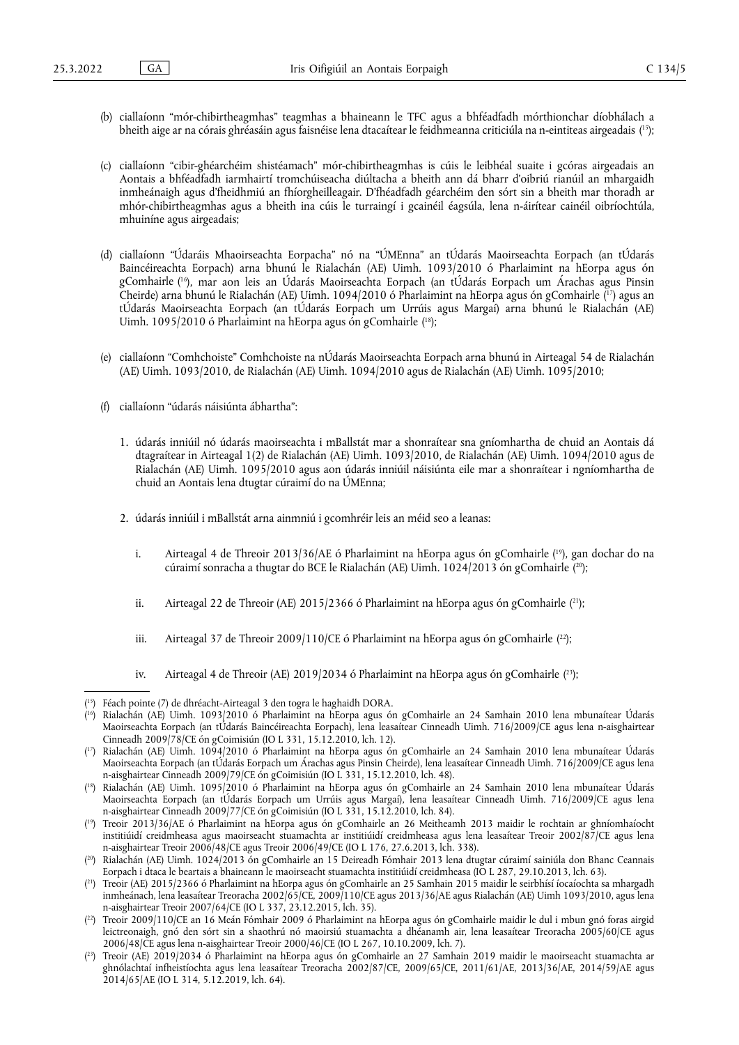- <span id="page-4-9"></span>(b) ciallaíonn "mór-chibirtheagmhas" teagmhas a bhaineann le TFC agus a bhféadfadh mórthionchar díobhálach a bheith aige ar na córais ghréasáin agus faisnéise lena dtacaítear le feidhmeanna criticiúla na n-eintiteas airgeadais ( [15\)](#page-4-0);
- (c) ciallaíonn "cibir-ghéarchéim shistéamach" mór-chibirtheagmhas is cúis le leibhéal suaite i gcóras airgeadais an Aontais a bhféadfadh iarmhairtí tromchúiseacha diúltacha a bheith ann dá bharr d'oibriú rianúil an mhargaidh inmheánaigh agus d'fheidhmiú an fhíorgheilleagair. D'fhéadfadh géarchéim den sórt sin a bheith mar thoradh ar mhór-chibirtheagmhas agus a bheith ina cúis le turraingí i gcainéil éagsúla, lena n-áirítear cainéil oibríochtúla, mhuiníne agus airgeadais;
- <span id="page-4-11"></span><span id="page-4-10"></span>(d) ciallaíonn "Údaráis Mhaoirseachta Eorpacha" nó na "ÚMEnna" an tÚdarás Maoirseachta Eorpach (an tÚdarás Baincéireachta Eorpach) arna bhunú le Rialachán (AE) Uimh. 1093/2010 ó Pharlaimint na hEorpa agus ón gComhairle ( [16\)](#page-4-1), mar aon leis an Údarás Maoirseachta Eorpach (an tÚdarás Eorpach um Árachas agus Pinsin Cheirde) arna bhunú le Rialachán (AE) Uimh. 1094/2010 ó Pharlaimint na hEorpa agus ón gComhairle ( [17\)](#page-4-2) agus an tÚdarás Maoirseachta Eorpach (an tÚdarás Eorpach um Urrúis agus Margaí) arna bhunú le Rialachán (AE) Uimh. 1095/2010 ó Pharlaimint na hEorpa agus ón gComhairle ( [18\)](#page-4-3);
- <span id="page-4-12"></span>(e) ciallaíonn "Comhchoiste" Comhchoiste na nÚdarás Maoirseachta Eorpach arna bhunú in Airteagal 54 de Rialachán (AE) Uimh. 1093/2010, de Rialachán (AE) Uimh. 1094/2010 agus de Rialachán (AE) Uimh. 1095/2010;
- <span id="page-4-13"></span>(f) ciallaíonn "údarás náisiúnta ábhartha":
	- 1. údarás inniúil nó údarás maoirseachta i mBallstát mar a shonraítear sna gníomhartha de chuid an Aontais dá dtagraítear in Airteagal 1(2) de Rialachán (AE) Uimh. 1093/2010, de Rialachán (AE) Uimh. 1094/2010 agus de Rialachán (AE) Uimh. 1095/2010 agus aon údarás inniúil náisiúnta eile mar a shonraítear i ngníomhartha de chuid an Aontais lena dtugtar cúraimí do na ÚMEnna;
	- 2. údarás inniúil i mBallstát arna ainmniú i gcomhréir leis an méid seo a leanas:
		- i. Airteagal 4 de Threoir 2013/36/AE ó Pharlaimint na hEorpa agus ón gComhairle ( [19\),](#page-4-4) gan dochar do na cúraimí sonracha a thugtar do BCE le Rialachán (AE) Uimh. 1024/2013 ón gComhairle ( [20\);](#page-4-5)
		- ii. Airteagal 22 de Threoir (AE) 2015/2366 ó Pharlaimint na hEorpa agus ón gComhairle ( [21\)](#page-4-6);
		- iii. Airteagal 37 de Threoir 2009/110/CE ó Pharlaimint na hEorpa agus ón gComhairle ([22\);](#page-4-7)
		- iv. Airteagal 4 de Threoir (AE) 2019/2034 ó Pharlaimint na hEorpa agus ón gComhairle ([23\)](#page-4-8);

<span id="page-4-1"></span>( [16\)](#page-4-10) Rialachán (AE) Uimh. 1093/2010 ó Pharlaimint na hEorpa agus ón gComhairle an 24 Samhain 2010 lena mbunaítear Údarás Maoirseachta Eorpach (an tÚdarás Baincéireachta Eorpach), lena leasaítear Cinneadh Uimh. 716/2009/CE agus lena n-aisghairtear Cinneadh 2009/78/CE ón gCoimisiún (IO L 331, 15.12.2010, lch. 12).

- <span id="page-4-3"></span>( [18\)](#page-4-12) Rialachán (AE) Uimh. 1095/2010 ó Pharlaimint na hEorpa agus ón gComhairle an 24 Samhain 2010 lena mbunaítear Údarás Maoirseachta Eorpach (an tÚdarás Eorpach um Urrúis agus Margaí), lena leasaítear Cinneadh Uimh. 716/2009/CE agus lena n-aisghairtear Cinneadh 2009/77/CE ón gCoimisiún (IO L 331, 15.12.2010, lch. 84).
- <span id="page-4-4"></span>( [19\)](#page-4-13) Treoir 2013/36/AE ó Pharlaimint na hEorpa agus ón gComhairle an 26 Meitheamh 2013 maidir le rochtain ar ghníomhaíocht institiúidí creidmheasa agus maoirseacht stuamachta ar institiúidí creidmheasa agus lena leasaítear Treoir 2002/87/CE agus lena n-aisghairtear Treoir 2006/48/CE agus Treoir 2006/49/CE (IO L 176, 27.6.2013, lch. 338).
- <span id="page-4-5"></span>( [20\)](#page-4-14) Rialachán (AE) Uimh. 1024/2013 ón gComhairle an 15 Deireadh Fómhair 2013 lena dtugtar cúraimí sainiúla don Bhanc Ceannais Eorpach i dtaca le beartais a bhaineann le maoirseacht stuamachta institiúidí creidmheasa (IO L 287, 29.10.2013, lch. 63).
- <span id="page-4-6"></span>( [21\)](#page-4-15) Treoir (AE) 2015/2366 ó Pharlaimint na hEorpa agus ón gComhairle an 25 Samhain 2015 maidir le seirbhísí íocaíochta sa mhargadh inmheánach, lena leasaítear Treoracha 2002/65/CE, 2009/110/CE agus 2013/36/AE agus Rialachán (AE) Uimh 1093/2010, agus lena n-aisghairtear Treoir 2007/64/CE (IO L 337, 23.12.2015, lch. 35).
- <span id="page-4-7"></span>( [22\)](#page-4-16) Treoir 2009/110/CE an 16 Meán Fómhair 2009 ó Pharlaimint na hEorpa agus ón gComhairle maidir le dul i mbun gnó foras airgid leictreonaigh, gnó den sórt sin a shaothrú nó maoirsiú stuamachta a dhéanamh air, lena leasaítear Treoracha 2005/60/CE agus 2006/48/CE agus lena n-aisghairtear Treoir 2000/46/CE (IO L 267, 10.10.2009, lch. 7).
- <span id="page-4-8"></span>( [23\)](#page-4-17) Treoir (AE) 2019/2034 ó Pharlaimint na hEorpa agus ón gComhairle an 27 Samhain 2019 maidir le maoirseacht stuamachta ar ghnólachtaí infheistíochta agus lena leasaítear Treoracha 2002/87/CE, 2009/65/CE, 2011/61/AE, 2013/36/AE, 2014/59/AE agus 2014/65/AE (IO L 314, 5.12.2019, lch. 64).

<span id="page-4-17"></span><span id="page-4-16"></span><span id="page-4-15"></span><span id="page-4-14"></span><span id="page-4-0"></span><sup>(</sup> [15\)](#page-4-9) Féach pointe (7) de dhréacht-Airteagal 3 den togra le haghaidh DORA.

<span id="page-4-2"></span><sup>(</sup> [17\)](#page-4-11) Rialachán (AE) Uimh. 1094/2010 ó Pharlaimint na hEorpa agus ón gComhairle an 24 Samhain 2010 lena mbunaítear Údarás Maoirseachta Eorpach (an tÚdarás Eorpach um Árachas agus Pinsin Cheirde), lena leasaítear Cinneadh Uimh. 716/2009/CE agus lena n-aisghairtear Cinneadh 2009/79/CE ón gCoimisiún (IO L 331, 15.12.2010, lch. 48).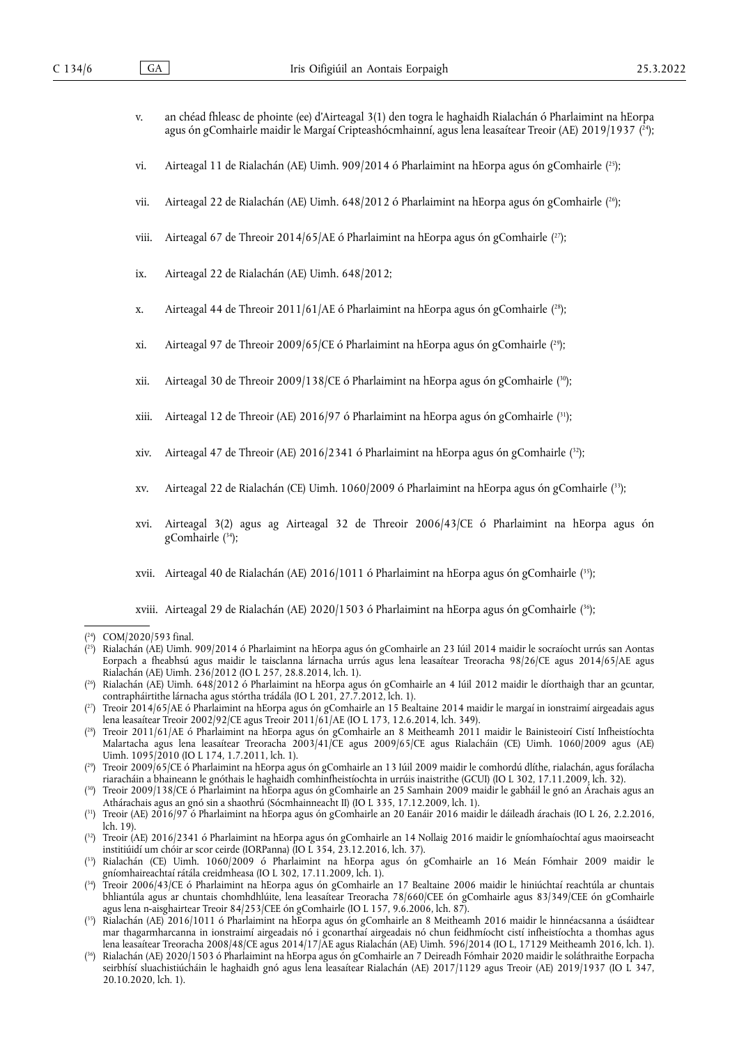<span id="page-5-13"></span>

| an chéad fhleasc de phointe (ee) d'Airteagal 3(1) den togra le haghaidh Rialachán ó Pharlaimint na hEorpa |
|-----------------------------------------------------------------------------------------------------------|
| agus ón gComhairle maidir le Margaí Cripteashócmhainní, agus lena leasaítear Treoir (AE) 2019/1937 (24);  |

- <span id="page-5-14"></span>vi. Airteagal 11 de Rialachán (AE) Uimh. 909/2014 ó Pharlaimint na hEorpa agus ón gComhairle ( [25\)](#page-5-1);
- <span id="page-5-15"></span>vii. Airteagal 22 de Rialachán (AE) Uimh. 648/2012 ó Pharlaimint na hEorpa agus ón gComhairle ( [26\)](#page-5-2);
- <span id="page-5-16"></span>viii. Airteagal 67 de Threoir 2014/65/AE ó Pharlaimint na hEorpa agus ón gComhairle ( [27\)](#page-5-3);
- ix. Airteagal 22 de Rialachán (AE) Uimh. 648/2012;
- <span id="page-5-17"></span>x. Airteagal 44 de Threoir 2011/61/AE ó Pharlaimint na hEorpa agus ón gComhairle ( [28\)](#page-5-4);
- <span id="page-5-18"></span>xi. Airteagal 97 de Threoir 2009/65/CE ó Pharlaimint na hEorpa agus ón gComhairle ( [29\);](#page-5-5)
- <span id="page-5-19"></span>xii. Airteagal 30 de Threoir 2009/138/CE ó Pharlaimint na hEorpa agus ón gComhairle ( [30\);](#page-5-6)
- <span id="page-5-20"></span>xiii. Airteagal 12 de Threoir (AE) 2016/97 ó Pharlaimint na hEorpa agus ón gComhairle ( [31\);](#page-5-7)
- <span id="page-5-21"></span>xiv. Airteagal 47 de Threoir (AE) 2016/2341 ó Pharlaimint na hEorpa agus ón gComhairle ( [32\)](#page-5-8);
- <span id="page-5-22"></span>xv. Airteagal 22 de Rialachán (CE) Uimh. 1060/2009 ó Pharlaimint na hEorpa agus ón gComhairle ( [33\);](#page-5-9)
- <span id="page-5-23"></span>xvi. Airteagal 3(2) agus ag Airteagal 32 de Threoir 2006/43/CE ó Pharlaimint na hEorpa agus ón gComhairle ( [34\);](#page-5-10)
- <span id="page-5-24"></span>xvii. Airteagal 40 de Rialachán (AE) 2016/1011 ó Pharlaimint na hEorpa agus ón gComhairle ( [35\);](#page-5-11)

<span id="page-5-25"></span>xviii. Airteagal 29 de Rialachán (AE) 2020/1503 ó Pharlaimint na hEorpa agus ón gComhairle ( [36\);](#page-5-12)

- <span id="page-5-1"></span>( [25\)](#page-5-14) Rialachán (AE) Uimh. 909/2014 ó Pharlaimint na hEorpa agus ón gComhairle an 23 Iúil 2014 maidir le socraíocht urrús san Aontas Eorpach a fheabhsú agus maidir le taisclanna lárnacha urrús agus lena leasaítear Treoracha 98/26/CE agus 2014/65/AE agus Rialachán (AE) Uimh. 236/2012 (IO L 257, 28.8.2014, lch. 1).
- <span id="page-5-2"></span>( [26\)](#page-5-15) Rialachán (AE) Uimh. 648/2012 ó Pharlaimint na hEorpa agus ón gComhairle an 4 Iúil 2012 maidir le díorthaigh thar an gcuntar, contrapháirtithe lárnacha agus stórtha trádála (IO L 201, 27.7.2012, lch. 1).
- <span id="page-5-3"></span>( [27\)](#page-5-16) Treoir 2014/65/AE ó Pharlaimint na hEorpa agus ón gComhairle an 15 Bealtaine 2014 maidir le margaí in ionstraimí airgeadais agus lena leasaítear Treoir 2002/92/CE agus Treoir 2011/61/AE (IO L 173, 12.6.2014, lch. 349).
- <span id="page-5-4"></span>( [28\)](#page-5-17) Treoir 2011/61/AE ó Pharlaimint na hEorpa agus ón gComhairle an 8 Meitheamh 2011 maidir le Bainisteoirí Cistí Infheistíochta Malartacha agus lena leasaítear Treoracha 2003/41/CE agus 2009/65/CE agus Rialacháin (CE) Uimh. 1060/2009 agus (AE) Uimh. 1095/2010 (IO L 174, 1.7.2011, lch. 1).
- <span id="page-5-5"></span>( [29\)](#page-5-18) Treoir 2009/65/CE ó Pharlaimint na hEorpa agus ón gComhairle an 13 Iúil 2009 maidir le comhordú dlíthe, rialachán, agus forálacha riaracháin a bhaineann le gnóthais le haghaidh comhinfheistíochta in urrúis inaistrithe (GCUI) (IO L 302, 17.11.2009, lch. 32).
- <span id="page-5-6"></span>( [30\)](#page-5-19) Treoir 2009/138/CE ó Pharlaimint na hEorpa agus ón gComhairle an 25 Samhain 2009 maidir le gabháil le gnó an Árachais agus an Athárachais agus an gnó sin a shaothrú (Sócmhainneacht II) (IO L 335, 17.12.2009, lch. 1).
- <span id="page-5-7"></span>( [31\)](#page-5-20) Treoir (AE) 2016/97 ó Pharlaimint na hEorpa agus ón gComhairle an 20 Eanáir 2016 maidir le dáileadh árachais (IO L 26, 2.2.2016, lch. 19).
- <span id="page-5-8"></span>( [32\)](#page-5-21) Treoir (AE) 2016/2341 ó Pharlaimint na hEorpa agus ón gComhairle an 14 Nollaig 2016 maidir le gníomhaíochtaí agus maoirseacht institiúidí um chóir ar scor ceirde (IORPanna) (IO L 354, 23.12.2016, lch. 37).
- <span id="page-5-9"></span>( [33\)](#page-5-22) Rialachán (CE) Uimh. 1060/2009 ó Pharlaimint na hEorpa agus ón gComhairle an 16 Meán Fómhair 2009 maidir le gníomhaireachtaí rátála creidmheasa (IO L 302, 17.11.2009, lch. 1).
- <span id="page-5-10"></span>( [34\)](#page-5-23) Treoir 2006/43/CE ó Pharlaimint na hEorpa agus ón gComhairle an 17 Bealtaine 2006 maidir le hiniúchtaí reachtúla ar chuntais bhliantúla agus ar chuntais chomhdhlúite, lena leasaítear Treoracha 78/660/CEE ón gComhairle agus 83/349/CEE ón gComhairle agus lena n-aisghairtear Treoir 84/253/CEE ón gComhairle (IO L 157, 9.6.2006, lch. 87).
- <span id="page-5-11"></span>( [35\)](#page-5-24) Rialachán (AE) 2016/1011 ó Pharlaimint na hEorpa agus ón gComhairle an 8 Meitheamh 2016 maidir le hinnéacsanna a úsáidtear mar thagarmharcanna in ionstraimí airgeadais nó i gconarthaí airgeadais nó chun feidhmíocht cistí infheistíochta a thomhas agus lena leasaítear Treoracha 2008/48/CE agus 2014/17/AE agus Rialachán (AE) Uimh. 596/2014 (IO L, 17129 Meitheamh 2016, lch. 1).
- <span id="page-5-12"></span>( [36\)](#page-5-25) Rialachán (AE) 2020/1503 ó Pharlaimint na hEorpa agus ón gComhairle an 7 Deireadh Fómhair 2020 maidir le soláthraithe Eorpacha seirbhísí sluachistiúcháin le haghaidh gnó agus lena leasaítear Rialachán (AE) 2017/1129 agus Treoir (AE) 2019/1937 (IO L 347, 20.10.2020, lch. 1).

<span id="page-5-0"></span><sup>(</sup> [24\)](#page-5-13) COM/2020/593 final.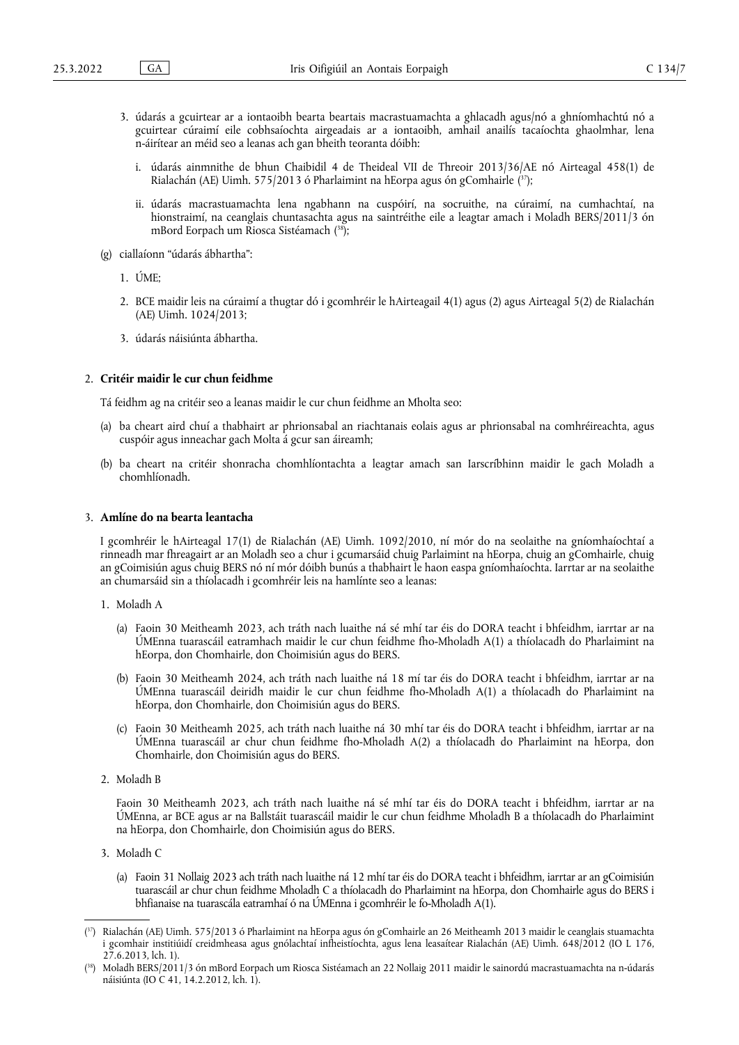- <span id="page-6-2"></span>3. údarás a gcuirtear ar a iontaoibh bearta beartais macrastuamachta a ghlacadh agus/nó a ghníomhachtú nó a gcuirtear cúraimí eile cobhsaíochta airgeadais ar a iontaoibh, amhail anailís tacaíochta ghaolmhar, lena n-áirítear an méid seo a leanas ach gan bheith teoranta dóibh:
	- i. údarás ainmnithe de bhun Chaibidil 4 de Theideal VII de Threoir 2013/36/AE nó Airteagal 458(1) de Rialachán (AE) Uimh. 575/2013 ó Pharlaimint na hEorpa agus ón gComhairle ( [37\)](#page-6-0);
	- ii. údarás macrastuamachta lena ngabhann na cuspóirí, na socruithe, na cúraimí, na cumhachtaí, na hionstraimí, na ceanglais chuntasachta agus na saintréithe eile a leagtar amach i Moladh BERS/2011/3 ón mBord Eorpach um Riosca Sistéamach ( [38\)](#page-6-1);
- <span id="page-6-3"></span>(g) ciallaíonn "údarás ábhartha":
	- 1. ÚME;
	- 2. BCE maidir leis na cúraimí a thugtar dó i gcomhréir le hAirteagail 4(1) agus (2) agus Airteagal 5(2) de Rialachán (AE) Uimh. 1024/2013;
	- 3. údarás náisiúnta ábhartha.

#### 2. **Critéir maidir le cur chun feidhme**

Tá feidhm ag na critéir seo a leanas maidir le cur chun feidhme an Mholta seo:

- (a) ba cheart aird chuí a thabhairt ar phrionsabal an riachtanais eolais agus ar phrionsabal na comhréireachta, agus cuspóir agus inneachar gach Molta á gcur san áireamh;
- (b) ba cheart na critéir shonracha chomhlíontachta a leagtar amach san Iarscríbhinn maidir le gach Moladh a chomhlíonadh.

#### 3. **Amlíne do na bearta leantacha**

I gcomhréir le hAirteagal 17(1) de Rialachán (AE) Uimh. 1092/2010, ní mór do na seolaithe na gníomhaíochtaí a rinneadh mar fhreagairt ar an Moladh seo a chur i gcumarsáid chuig Parlaimint na hEorpa, chuig an gComhairle, chuig an gCoimisiún agus chuig BERS nó ní mór dóibh bunús a thabhairt le haon easpa gníomhaíochta. Iarrtar ar na seolaithe an chumarsáid sin a thíolacadh i gcomhréir leis na hamlínte seo a leanas:

- 1. Moladh A
	- (a) Faoin 30 Meitheamh 2023, ach tráth nach luaithe ná sé mhí tar éis do DORA teacht i bhfeidhm, iarrtar ar na ÚMEnna tuarascáil eatramhach maidir le cur chun feidhme fho-Mholadh A(1) a thíolacadh do Pharlaimint na hEorpa, don Chomhairle, don Choimisiún agus do BERS.
	- (b) Faoin 30 Meitheamh 2024, ach tráth nach luaithe ná 18 mí tar éis do DORA teacht i bhfeidhm, iarrtar ar na ÚMEnna tuarascáil deiridh maidir le cur chun feidhme fho-Mholadh A(1) a thíolacadh do Pharlaimint na hEorpa, don Chomhairle, don Choimisiún agus do BERS.
	- (c) Faoin 30 Meitheamh 2025, ach tráth nach luaithe ná 30 mhí tar éis do DORA teacht i bhfeidhm, iarrtar ar na ÚMEnna tuarascáil ar chur chun feidhme fho-Mholadh A(2) a thíolacadh do Pharlaimint na hEorpa, don Chomhairle, don Choimisiún agus do BERS.
- 2. Moladh B

Faoin 30 Meitheamh 2023, ach tráth nach luaithe ná sé mhí tar éis do DORA teacht i bhfeidhm, iarrtar ar na ÚMEnna, ar BCE agus ar na Ballstáit tuarascáil maidir le cur chun feidhme Mholadh B a thíolacadh do Pharlaimint na hEorpa, don Chomhairle, don Choimisiún agus do BERS.

- 3. Moladh C
	- (a) Faoin 31 Nollaig 2023 ach tráth nach luaithe ná 12 mhí tar éis do DORA teacht i bhfeidhm, iarrtar ar an gCoimisiún tuarascáil ar chur chun feidhme Mholadh C a thíolacadh do Pharlaimint na hEorpa, don Chomhairle agus do BERS i bhfianaise na tuarascála eatramhaí ó na ÚMEnna i gcomhréir le fo-Mholadh A(1).

<span id="page-6-0"></span><sup>(</sup> [37\)](#page-6-2) Rialachán (AE) Uimh. 575/2013 ó Pharlaimint na hEorpa agus ón gComhairle an 26 Meitheamh 2013 maidir le ceanglais stuamachta i gcomhair institiúidí creidmheasa agus gnólachtaí infheistíochta, agus lena leasaítear Rialachán (AE) Uimh. 648/2012 (IO L 176, 27.6.2013, lch. 1).

<span id="page-6-1"></span><sup>(</sup> [38\)](#page-6-3) Moladh BERS/2011/3 ón mBord Eorpach um Riosca Sistéamach an 22 Nollaig 2011 maidir le sainordú macrastuamachta na n-údarás náisiúnta (IO C 41, 14.2.2012, lch. 1).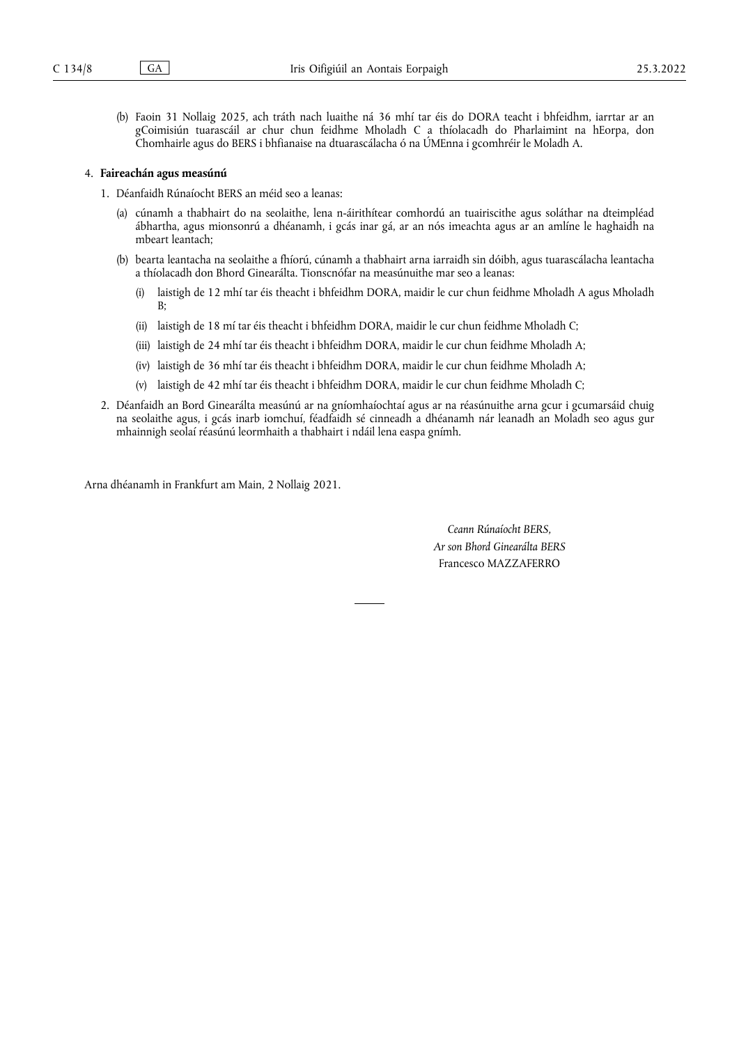(b) Faoin 31 Nollaig 2025, ach tráth nach luaithe ná 36 mhí tar éis do DORA teacht i bhfeidhm, iarrtar ar an gCoimisiún tuarascáil ar chur chun feidhme Mholadh C a thíolacadh do Pharlaimint na hEorpa, don Chomhairle agus do BERS i bhfianaise na dtuarascálacha ó na ÚMEnna i gcomhréir le Moladh A.

#### 4. **Faireachán agus measúnú**

- 1. Déanfaidh Rúnaíocht BERS an méid seo a leanas:
	- (a) cúnamh a thabhairt do na seolaithe, lena n-áirithítear comhordú an tuairiscithe agus soláthar na dteimpléad ábhartha, agus mionsonrú a dhéanamh, i gcás inar gá, ar an nós imeachta agus ar an amlíne le haghaidh na mbeart leantach;
	- (b) bearta leantacha na seolaithe a fhíorú, cúnamh a thabhairt arna iarraidh sin dóibh, agus tuarascálacha leantacha a thíolacadh don Bhord Ginearálta. Tionscnófar na measúnuithe mar seo a leanas:
		- (i) laistigh de 12 mhí tar éis theacht i bhfeidhm DORA, maidir le cur chun feidhme Mholadh A agus Mholadh B;
		- (ii) laistigh de 18 mí tar éis theacht i bhfeidhm DORA, maidir le cur chun feidhme Mholadh C;
		- (iii) laistigh de 24 mhí tar éis theacht i bhfeidhm DORA, maidir le cur chun feidhme Mholadh A;
		- (iv) laistigh de 36 mhí tar éis theacht i bhfeidhm DORA, maidir le cur chun feidhme Mholadh A;
		- (v) laistigh de 42 mhí tar éis theacht i bhfeidhm DORA, maidir le cur chun feidhme Mholadh C;
- 2. Déanfaidh an Bord Ginearálta measúnú ar na gníomhaíochtaí agus ar na réasúnuithe arna gcur i gcumarsáid chuig na seolaithe agus, i gcás inarb iomchuí, féadfaidh sé cinneadh a dhéanamh nár leanadh an Moladh seo agus gur mhainnigh seolaí réasúnú leormhaith a thabhairt i ndáil lena easpa gnímh.

Arna dhéanamh in Frankfurt am Main, 2 Nollaig 2021.

*Ceann Rúnaíocht BERS, Ar son Bhord Ginearálta BERS* Francesco MAZZAFERRO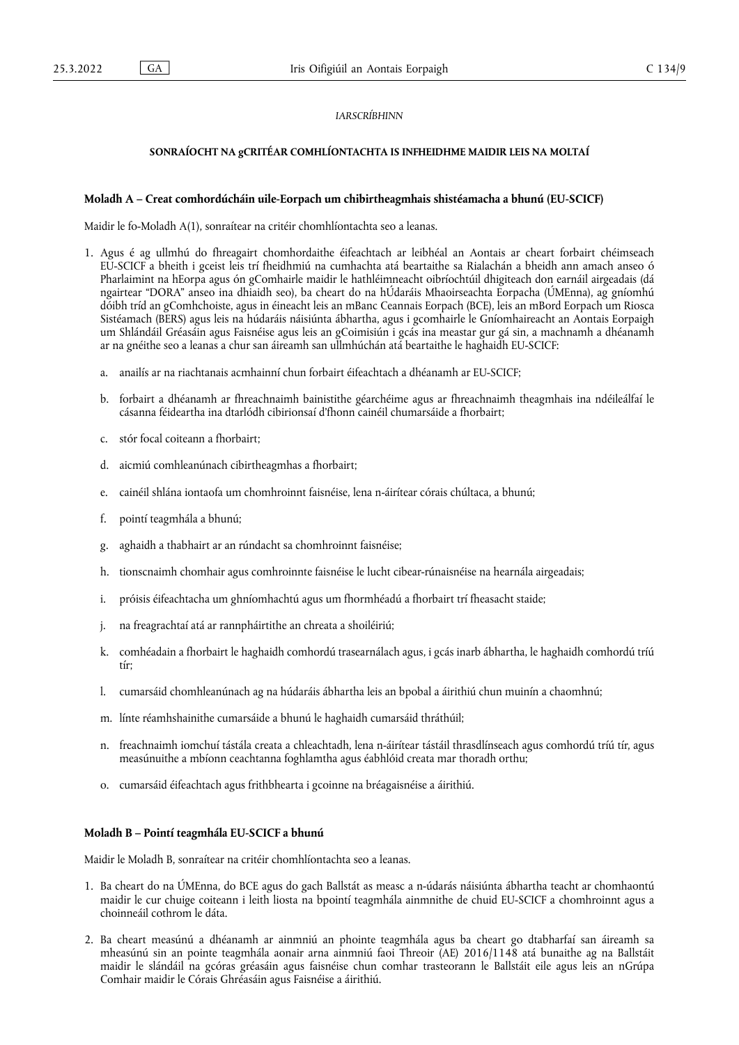#### *IARSCRÍBHINN*

#### **SONRAÍOCHT NA gCRITÉAR COMHLÍONTACHTA IS INFHEIDHME MAIDIR LEIS NA MOLTAÍ**

#### **Moladh A – Creat comhordúcháin uile-Eorpach um chibirtheagmhais shistéamacha a bhunú (EU-SCICF)**

Maidir le fo-Moladh A(1), sonraítear na critéir chomhlíontachta seo a leanas.

- 1. Agus é ag ullmhú do fhreagairt chomhordaithe éifeachtach ar leibhéal an Aontais ar cheart forbairt chéimseach EU-SCICF a bheith i gceist leis trí fheidhmiú na cumhachta atá beartaithe sa Rialachán a bheidh ann amach anseo ó Pharlaimint na hEorpa agus ón gComhairle maidir le hathléimneacht oibríochtúil dhigiteach don earnáil airgeadais (dá ngairtear "DORA" anseo ina dhiaidh seo), ba cheart do na hÚdaráis Mhaoirseachta Eorpacha (ÚMEnna), ag gníomhú dóibh tríd an gComhchoiste, agus in éineacht leis an mBanc Ceannais Eorpach (BCE), leis an mBord Eorpach um Riosca Sistéamach (BERS) agus leis na húdaráis náisiúnta ábhartha, agus i gcomhairle le Gníomhaireacht an Aontais Eorpaigh um Shlándáil Gréasáin agus Faisnéise agus leis an gCoimisiún i gcás ina meastar gur gá sin, a machnamh a dhéanamh ar na gnéithe seo a leanas a chur san áireamh san ullmhúchán atá beartaithe le haghaidh EU-SCICF:
	- a. anailís ar na riachtanais acmhainní chun forbairt éifeachtach a dhéanamh ar EU-SCICF;
	- b. forbairt a dhéanamh ar fhreachnaimh bainistithe géarchéime agus ar fhreachnaimh theagmhais ina ndéileálfaí le cásanna féideartha ina dtarlódh cibirionsaí d'fhonn cainéil chumarsáide a fhorbairt;
	- c. stór focal coiteann a fhorbairt;
	- d. aicmiú comhleanúnach cibirtheagmhas a fhorbairt;
	- e. cainéil shlána iontaofa um chomhroinnt faisnéise, lena n-áirítear córais chúltaca, a bhunú;
	- f. pointí teagmhála a bhunú;
	- g. aghaidh a thabhairt ar an rúndacht sa chomhroinnt faisnéise;
	- h. tionscnaimh chomhair agus comhroinnte faisnéise le lucht cibear-rúnaisnéise na hearnála airgeadais;
	- i. próisis éifeachtacha um ghníomhachtú agus um fhormhéadú a fhorbairt trí fheasacht staide;
	- j. na freagrachtaí atá ar rannpháirtithe an chreata a shoiléiriú;
	- k. comhéadain a fhorbairt le haghaidh comhordú trasearnálach agus, i gcás inarb ábhartha, le haghaidh comhordú tríú tír;
	- l. cumarsáid chomhleanúnach ag na húdaráis ábhartha leis an bpobal a áirithiú chun muinín a chaomhnú;
	- m. línte réamhshainithe cumarsáide a bhunú le haghaidh cumarsáid thráthúil;
	- n. freachnaimh iomchuí tástála creata a chleachtadh, lena n-áirítear tástáil thrasdlínseach agus comhordú tríú tír, agus measúnuithe a mbíonn ceachtanna foghlamtha agus éabhlóid creata mar thoradh orthu;
	- o. cumarsáid éifeachtach agus frithbhearta i gcoinne na bréagaisnéise a áirithiú.

# **Moladh B – Pointí teagmhála EU-SCICF a bhunú**

Maidir le Moladh B, sonraítear na critéir chomhlíontachta seo a leanas.

- 1. Ba cheart do na ÚMEnna, do BCE agus do gach Ballstát as measc a n-údarás náisiúnta ábhartha teacht ar chomhaontú maidir le cur chuige coiteann i leith liosta na bpointí teagmhála ainmnithe de chuid EU-SCICF a chomhroinnt agus a choinneáil cothrom le dáta.
- 2. Ba cheart measúnú a dhéanamh ar ainmniú an phointe teagmhála agus ba cheart go dtabharfaí san áireamh sa mheasúnú sin an pointe teagmhála aonair arna ainmniú faoi Threoir (AE) 2016/1148 atá bunaithe ag na Ballstáit maidir le slándáil na gcóras gréasáin agus faisnéise chun comhar trasteorann le Ballstáit eile agus leis an nGrúpa Comhair maidir le Córais Ghréasáin agus Faisnéise a áirithiú.